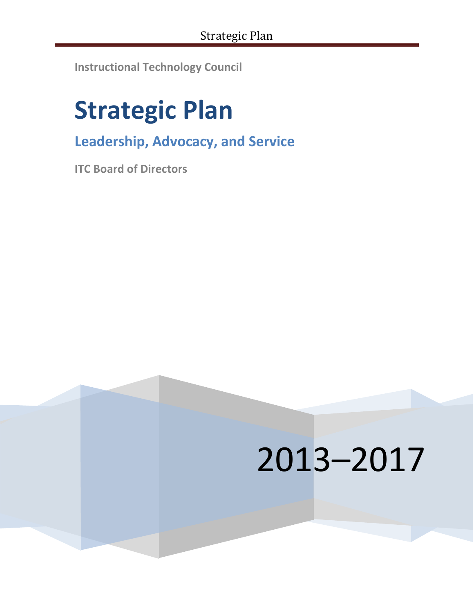**Instructional Technology Council**

# **Strategic Plan**

**Leadership, Advocacy, and Service**

**ITC Board of Directors**

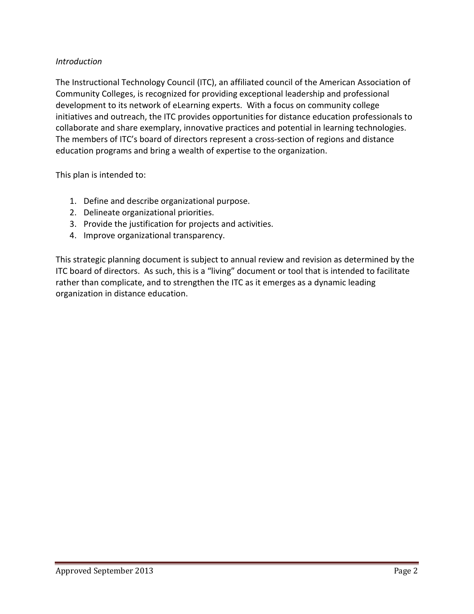### *Introduction*

The Instructional Technology Council (ITC), an affiliated council of the American Association of Community Colleges, is recognized for providing exceptional leadership and professional development to its network of eLearning experts. With a focus on community college initiatives and outreach, the ITC provides opportunities for distance education professionals to collaborate and share exemplary, innovative practices and potential in learning technologies. The members of ITC's board of directors represent a cross-section of regions and distance education programs and bring a wealth of expertise to the organization.

This plan is intended to:

- 1. Define and describe organizational purpose.
- 2. Delineate organizational priorities.
- 3. Provide the justification for projects and activities.
- 4. Improve organizational transparency.

This strategic planning document is subject to annual review and revision as determined by the ITC board of directors. As such, this is a "living" document or tool that is intended to facilitate rather than complicate, and to strengthen the ITC as it emerges as a dynamic leading organization in distance education.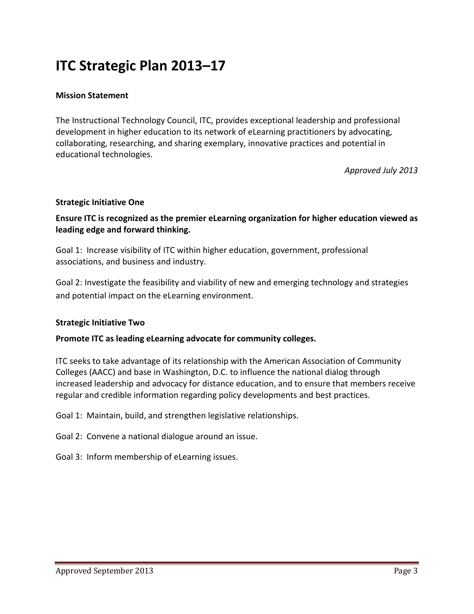## **ITC Strategic Plan 2013–17**

#### **Mission Statement**

The Instructional Technology Council, ITC, provides exceptional leadership and professional development in higher education to its network of eLearning practitioners by advocating, collaborating, researching, and sharing exemplary, innovative practices and potential in educational technologies.

*Approved July 2013*

#### **Strategic Initiative One**

**Ensure ITC is recognized as the premier eLearning organization for higher education viewed as leading edge and forward thinking.**

Goal 1: Increase visibility of ITC within higher education, government, professional associations, and business and industry.

Goal 2: Investigate the feasibility and viability of new and emerging technology and strategies and potential impact on the eLearning environment.

#### **Strategic Initiative Two**

#### **Promote ITC as leading eLearning advocate for community colleges.**

ITC seeks to take advantage of its relationship with the American Association of Community Colleges (AACC) and base in Washington, D.C. to influence the national dialog through increased leadership and advocacy for distance education, and to ensure that members receive regular and credible information regarding policy developments and best practices.

Goal 1: Maintain, build, and strengthen legislative relationships.

Goal 2: Convene a national dialogue around an issue.

Goal 3: Inform membership of eLearning issues.